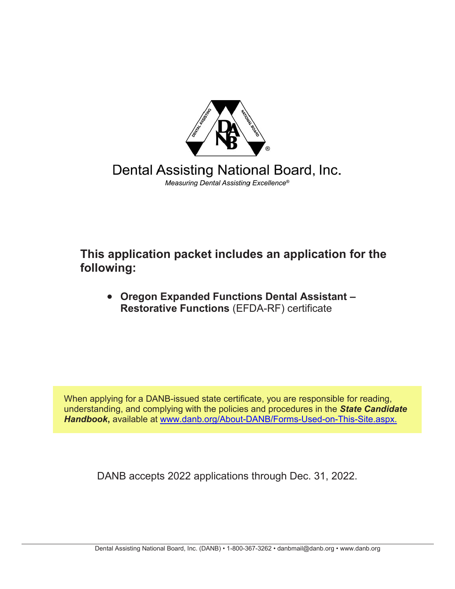

Dental Assisting National Board, Inc. Measuring Dental Assisting Excellence®

**This application packet includes an application for the following:**

• **Oregon Expanded Functions Dental Assistant – Restorative Functions** (EFDA-RF) certificate

When applying for a DANB-issued state certificate, you are responsible for reading, understanding, and complying with the policies and procedures in the *State Candidate Handbook***,** available at [www.](http://www.danb.org/About-DANB/Forms-Used-on-This-Site.aspx)[danb.org/About-DANB/Forms-Used-on-This-Site.aspx.](https://www.danb.org/About-DANB/Forms-Used-on-This-Site.aspx)

DANB accepts 2022 applications through Dec. 31, 2022.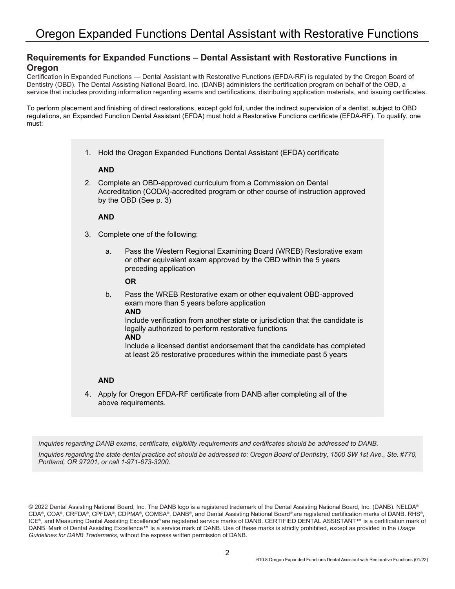### **Requirements for Expanded Functions – Dental Assistant with Restorative Functions in Oregon**

Certification in Expanded Functions — Dental Assistant with Restorative Functions (EFDA-RF) is regulated by the Oregon Board of Dentistry (OBD). The Dental Assisting National Board, Inc. (DANB) administers the certification program on behalf of the OBD, a service that includes providing information regarding exams and certifications, distributing application materials, and issuing certificates.

To perform placement and finishing of direct restorations, except gold foil, under the indirect supervision of a dentist, subject to OBD regulations, an Expanded Function Dental Assistant (EFDA) must hold a Restorative Functions certificate (EFDA-RF). To qualify, one must:

1. Hold the Oregon Expanded Functions Dental Assistant (EFDA) certificate

### **AND**

2. Complete an OBD-approved curriculum from a Commission on Dental Accreditation (CODA)-accredited program or other course of instruction approved by the OBD (See p. 3)

#### **AND**

- 3. Complete one of the following:
	- a. Pass the Western Regional Examining Board (WREB) Restorative exam or other equivalent exam approved by the OBD within the 5 years preceding application

### **OR**

b. Pass the WREB Restorative exam or other equivalent OBD-approved exam more than 5 years before application **AND** Include verification from another state or jurisdiction that the candidate is legally authorized to perform restorative functions **AND** Include a licensed dentist endorsement that the candidate has completed at least 25 restorative procedures within the immediate past 5 years

# **AND**

4. Apply for Oregon EFDA-RF certificate from DANB after completing all of the above requirements.

*Inquiries regarding DANB exams, certificate, eligibility requirements and certificates should be addressed to DANB.*

*Inquiries regarding the state dental practice act should be addressed to: Oregon Board of Dentistry, 1500 SW 1st Ave., Ste. #770, Portland, OR 97201, or call 1-971-673-3200.*

© 2022 Dental Assisting National Board, Inc. The DANB logo is a registered trademark of the Dental Assisting National Board, Inc. (DANB). NELDA® CDA®, COA®, CRFDA®, CPFDA®, CDPMA®, COMSA®, DANB®, and Dental Assisting National Board® are registered certification marks of DANB. RHS®, ICE®, and Measuring Dental Assisting Excellence® are registered service marks of DANB. CERTIFIED DENTAL ASSISTANT™ is a certification mark of DANB. Mark of Dental Assisting Excellence™ is a service mark of DANB. Use of these marks is strictly prohibited, except as provided in the *Usage Guidelines for DANB Trademarks*, without the express written permission of DANB.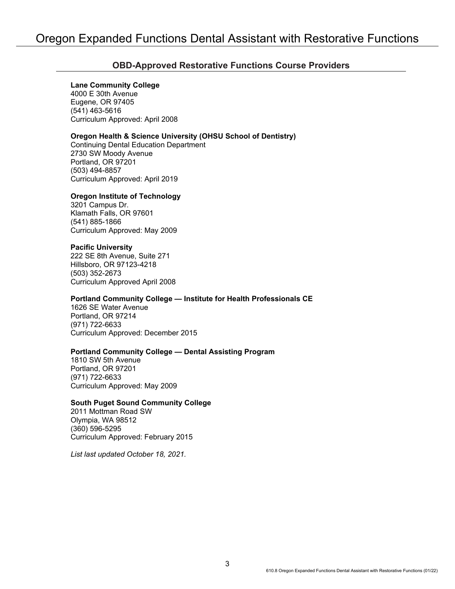### **OBD-Approved Restorative Functions Course Providers**

### **Lane Community College**

4000 E 30th Avenue Eugene, OR 97405 (541) 463-5616 Curriculum Approved: April 2008

### **Oregon Health & Science University (OHSU School of Dentistry)**

Continuing Dental Education Department 2730 SW Moody Avenue Portland, OR 97201 (503) 494-8857 Curriculum Approved: April 2019

### **Oregon Institute of Technology**

3201 Campus Dr. Klamath Falls, OR 97601 (541) 885-1866 Curriculum Approved: May 2009

### **Pacific University**

222 SE 8th Avenue, Suite 271 Hillsboro, OR 97123-4218 (503) 352-2673 Curriculum Approved April 2008

### **Portland Community College — Institute for Health Professionals CE**

1626 SE Water Avenue Portland, OR 97214 (971) 722-6633 Curriculum Approved: December 2015

### **Portland Community College — Dental Assisting Program**

1810 SW 5th Avenue Portland, OR 97201 (971) 722-6633 Curriculum Approved: May 2009

### **South Puget Sound Community College**

2011 Mottman Road SW Olympia, WA 98512 (360) 596-5295 Curriculum Approved: February 2015

*List last updated October 18, 2021.*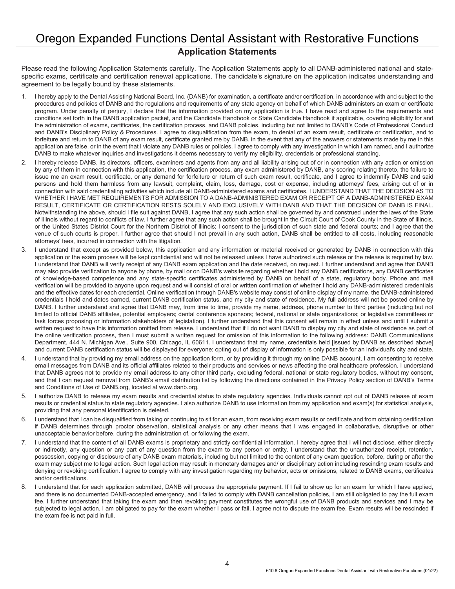## Oregon Expanded Functions Dental Assistant with Restorative Functions **Application Statements**

Please read the following Application Statements carefully. The Application Statements apply to all DANB-administered national and statespecific exams, certificate and certification renewal applications. The candidate's signature on the application indicates understanding and agreement to be legally bound by these statements.

- 1. I hereby apply to the Dental Assisting National Board, Inc. (DANB) for examination, a certificate and/or certification, in accordance with and subject to the procedures and policies of DANB and the regulations and requirements of any state agency on behalf of which DANB administers an exam or certificate program. Under penalty of perjury, I declare that the information provided on my application is true. I have read and agree to the requirements and conditions set forth in the DANB application packet, and the Candidate Handbook or State Candidate Handbook if applicable, covering eligibility for and the administration of exams, certificates, the certification process, and DANB policies, including but not limited to DANB's Code of Professional Conduct and DANB's Disciplinary Policy & Procedures. I agree to disqualification from the exam, to denial of an exam result, certificate or certification, and to forfeiture and return to DANB of any exam result, certificate granted me by DANB, in the event that any of the answers or statements made by me in this application are false, or in the event that I violate any DANB rules or policies. I agree to comply with any investigation in which I am named, and I authorize DANB to make whatever inquiries and investigations it deems necessary to verify my eligibility, credentials or professional standing.
- 2. I hereby release DANB, its directors, officers, examiners and agents from any and all liability arising out of or in connection with any action or omission by any of them in connection with this application, the certification process, any exam administered by DANB, any scoring relating thereto, the failure to issue me an exam result, certificate, or any demand for forfeiture or return of such exam result, certificate, and I agree to indemnify DANB and said persons and hold them harmless from any lawsuit, complaint, claim, loss, damage, cost or expense, including attorneys' fees, arising out of or in connection with said credentialing activities which include all DANB-administered exams and certificates. I UNDERSTAND THAT THE DECISION AS TO WHETHER I HAVE MET REQUIREMENTS FOR ADMISSION TO A DANB-ADMINISTERED EXAM OR RECEIPT OF A DANB-ADMINISTERED EXAM RESULT, CERTIFICATE OR CERTIFICATION RESTS SOLELY AND EXCLUSIVELY WITH DANB AND THAT THE DECISION OF DANB IS FINAL. Notwithstanding the above, should I file suit against DANB, I agree that any such action shall be governed by and construed under the laws of the State of Illinois without regard to conflicts of law. I further agree that any such action shall be brought in the Circuit Court of Cook County in the State of Illinois, or the United States District Court for the Northern District of Illinois; I consent to the jurisdiction of such state and federal courts; and I agree that the venue of such courts is proper. I further agree that should I not prevail in any such action, DANB shall be entitled to all costs, including reasonable attorneys' fees, incurred in connection with the litigation.
- 3. I understand that except as provided below, this application and any information or material received or generated by DANB in connection with this application or the exam process will be kept confidential and will not be released unless I have authorized such release or the release is required by law. I understand that DANB will verify receipt of any DANB exam application and the date received, on request. I further understand and agree that DANB may also provide verification to anyone by phone, by mail or on DANB's website regarding whether I hold any DANB certifications, any DANB certificates of knowledge-based competence and any state-specific certificates administered by DANB on behalf of a state, regulatory body. Phone and mail verification will be provided to anyone upon request and will consist of oral or written confirmation of whether I hold any DANB-administered credentials and the effective dates for each credential. Online verification through DANB's website may consist of online display of my name, the DANB-administered credentials I hold and dates earned, current DANB certification status, and my city and state of residence. My full address will not be posted online by DANB. I further understand and agree that DANB may, from time to time, provide my name, address, phone number to third parties (including but not limited to official DANB affiliates, potential employers; dental conference sponsors; federal, national or state organizations; or legislative committees or task forces proposing or information stakeholders of legislation). I further understand that this consent will remain in effect unless and until I submit a written request to have this information omitted from release. I understand that if I do not want DANB to display my city and state of residence as part of the online verification process, then I must submit a written request for omission of this information to the following address: DANB Communications Department, 444 N. Michigan Ave., Suite 900, Chicago, IL 60611. I understand that my name, credentials held [issued by DANB as described above] and current DANB certification status will be displayed for everyone; opting out of display of information is only possible for an individual's city and state.
- 4. I understand that by providing my email address on the application form, or by providing it through my online DANB account, I am consenting to receive email messages from DANB and its official affiliates related to their products and services or news affecting the oral healthcare profession. I understand that DANB agrees not to provide my email address to any other third party, excluding federal, national or state regulatory bodies, without my consent, and that I can request removal from DANB's email distribution list by following the directions contained in the Privacy Policy section of DANB's Terms and Conditions of Use of DANB.org, located at www.danb.org.
- 5. I authorize DANB to release my exam results and credential status to state regulatory agencies. Individuals cannot opt out of DANB release of exam results or credential status to state regulatory agencies. I also authorize DANB to use information from my application and exam(s) for statistical analysis, providing that any personal identification is deleted.
- 6. I understand that I can be disqualified from taking or continuing to sit for an exam, from receiving exam results or certificate and from obtaining certification if DANB determines through proctor observation, statistical analysis or any other means that I was engaged in collaborative, disruptive or other unacceptable behavior before, during the administration of, or following the exam.
- 7. I understand that the content of all DANB exams is proprietary and strictly confidential information. I hereby agree that I will not disclose, either directly or indirectly, any question or any part of any question from the exam to any person or entity. I understand that the unauthorized receipt, retention, possession, copying or disclosure of any DANB exam materials, including but not limited to the content of any exam question, before, during or after the exam may subject me to legal action. Such legal action may result in monetary damages and/ or disciplinary action including rescinding exam results and denying or revoking certification. I agree to comply with any investigation regarding my behavior, acts or omissions, related to DANB exams, certificates and/or certifications.
- 8. I understand that for each application submitted, DANB will process the appropriate payment. If I fail to show up for an exam for which I have applied, and there is no documented DANB-accepted emergency, and I failed to comply with DANB cancellation policies, I am still obligated to pay the full exam fee. I further understand that taking the exam and then revoking payment constitutes the wrongful use of DANB products and services and I may be subjected to legal action. I am obligated to pay for the exam whether I pass or fail. I agree not to dispute the exam fee. Exam results will be rescinded if the exam fee is not paid in full.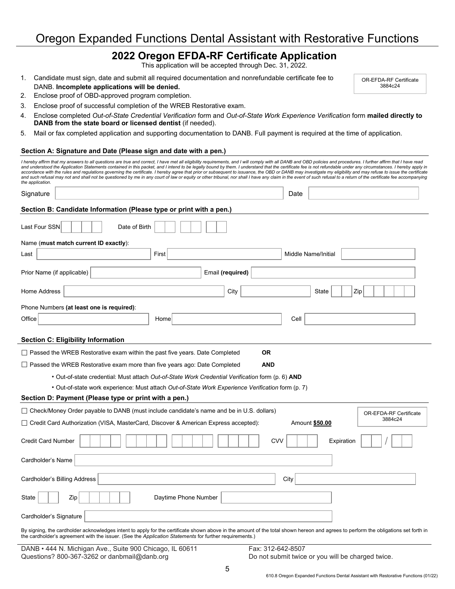# Oregon Expanded Functions Dental Assistant with Restorative Functions

### **2022 Oregon EFDA-RF Certificate Application**

This application will be accepted through Dec. 31, 2022.

- 1. Candidate must sign, date and submit all required documentation and nonrefundable certificate fee to DANB. **Incomplete applications will be denied.**
- 2. Enclose proof of OBD-approved program completion.
- 3. Enclose proof of successful completion of the WREB Restorative exam.
- 4. Enclose completed *Out-of-State Credential Verification* form and *Out-of-State Work Experience Verification* form **mailed directly to DANB from the state board or licensed dentist** (if needed).
- 5. Mail or fax completed application and supporting documentation to DANB. Full payment is required at the time of application.

#### **Section A: Signature and Date (Please sign and date with a pen.)**

| I hereby affirm that my answers to all questions are true and correct, I have met all eligibility requirements, and I will comply with all DANB and OBD policies and procedures. I further affirm that I have read<br>and understood the Application Statements contained in this packet, and I intend to be legally bound by them. I understand that the certificate fee is not refundable under any circumstances. I hereby apply in<br>accordance with the rules and regulations governing the certificate. I hereby agree that prior or subsequent to issuance, the OBD or DANB may investigate my eligibility and may refuse to issue the certificate |                           |
|------------------------------------------------------------------------------------------------------------------------------------------------------------------------------------------------------------------------------------------------------------------------------------------------------------------------------------------------------------------------------------------------------------------------------------------------------------------------------------------------------------------------------------------------------------------------------------------------------------------------------------------------------------|---------------------------|
| and such refusal may not and shall not be questioned by me in any court of law or equity or other tribunal, nor shall I have any claim in the event of such refusal to a return of the certificate fee accompanying<br>the application.                                                                                                                                                                                                                                                                                                                                                                                                                    |                           |
| Signature                                                                                                                                                                                                                                                                                                                                                                                                                                                                                                                                                                                                                                                  | Date                      |
| Section B: Candidate Information (Please type or print with a pen.)                                                                                                                                                                                                                                                                                                                                                                                                                                                                                                                                                                                        |                           |
| Last Four SSN<br>Date of Birth                                                                                                                                                                                                                                                                                                                                                                                                                                                                                                                                                                                                                             |                           |
| Name (must match current ID exactly):                                                                                                                                                                                                                                                                                                                                                                                                                                                                                                                                                                                                                      |                           |
| First<br>Last                                                                                                                                                                                                                                                                                                                                                                                                                                                                                                                                                                                                                                              | Middle Name/Initial       |
| Prior Name (if applicable)<br>Email (required)                                                                                                                                                                                                                                                                                                                                                                                                                                                                                                                                                                                                             |                           |
| Home Address<br>City                                                                                                                                                                                                                                                                                                                                                                                                                                                                                                                                                                                                                                       | Zip<br>State              |
| Phone Numbers (at least one is required):                                                                                                                                                                                                                                                                                                                                                                                                                                                                                                                                                                                                                  |                           |
| Office<br>Home                                                                                                                                                                                                                                                                                                                                                                                                                                                                                                                                                                                                                                             | Cell                      |
| <b>Section C: Eligibility Information</b>                                                                                                                                                                                                                                                                                                                                                                                                                                                                                                                                                                                                                  |                           |
| $\Box$ Passed the WREB Restorative exam within the past five years. Date Completed<br><b>OR</b>                                                                                                                                                                                                                                                                                                                                                                                                                                                                                                                                                            |                           |
| $\Box$ Passed the WREB Restorative exam more than five years ago: Date Completed<br><b>AND</b>                                                                                                                                                                                                                                                                                                                                                                                                                                                                                                                                                             |                           |
| · Out-of-state credential: Must attach Out-of-State Work Credential Verification form (p. 6) AND                                                                                                                                                                                                                                                                                                                                                                                                                                                                                                                                                           |                           |
| Out-of-state work experience: Must attach Out-of-State Work Experience Verification form (p. 7)                                                                                                                                                                                                                                                                                                                                                                                                                                                                                                                                                            |                           |
| Section D: Payment (Please type or print with a pen.)                                                                                                                                                                                                                                                                                                                                                                                                                                                                                                                                                                                                      |                           |
| $\Box$ Check/Money Order payable to DANB (must include candidate's name and be in U.S. dollars)                                                                                                                                                                                                                                                                                                                                                                                                                                                                                                                                                            | OR-EFDA-RF Certificate    |
| □ Credit Card Authorization (VISA, MasterCard, Discover & American Express accepted):                                                                                                                                                                                                                                                                                                                                                                                                                                                                                                                                                                      | 3884c24<br>Amount \$50.00 |
| <b>CVV</b><br><b>Credit Card Number</b>                                                                                                                                                                                                                                                                                                                                                                                                                                                                                                                                                                                                                    | Expiration                |
| Cardholder's Name                                                                                                                                                                                                                                                                                                                                                                                                                                                                                                                                                                                                                                          |                           |
| Cardholder's Billing Address                                                                                                                                                                                                                                                                                                                                                                                                                                                                                                                                                                                                                               | City                      |
| Zip<br>Daytime Phone Number<br>State                                                                                                                                                                                                                                                                                                                                                                                                                                                                                                                                                                                                                       |                           |
| Cardholder's Signature                                                                                                                                                                                                                                                                                                                                                                                                                                                                                                                                                                                                                                     |                           |
| By signing, the cardholder acknowledges intent to apply for the certificate shown above in the amount of the total shown hereon and agrees to perform the obligations set forth in<br>the cardholder's agreement with the issuer. (See the Application Statements for further requirements.)                                                                                                                                                                                                                                                                                                                                                               |                           |

DANB • 444 N. Michigan Ave., Suite 900 Chicago, IL 60611 Fax: 312-642-8507<br>Questions? 800-367-3262 or danbmail@danb.org Do not submit twice

Do not submit twice or you will be charged twice.

OR-EFDA-RF Certificate 3884c24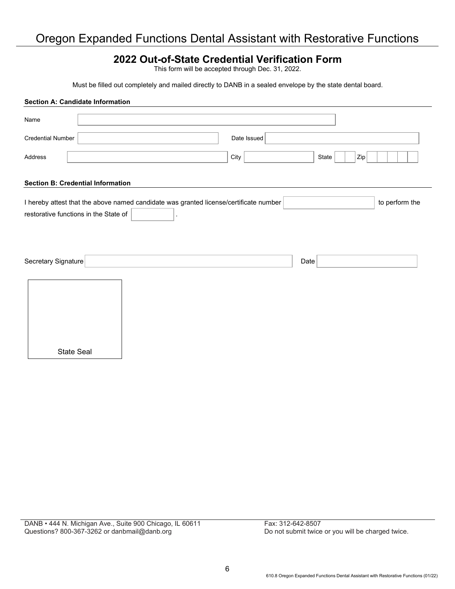# Oregon Expanded Functions Dental Assistant with Restorative Functions

## **2022 Out-of-State Credential Verification Form**

This form will be accepted through Dec. 31, 2022.

Must be filled out completely and mailed directly to DANB in a sealed envelope by the state dental board.

|                          | <b>Section A: Candidate Information</b>                                                                                        |  |             |      |       |                |                |
|--------------------------|--------------------------------------------------------------------------------------------------------------------------------|--|-------------|------|-------|----------------|----------------|
| Name                     |                                                                                                                                |  |             |      |       |                |                |
| <b>Credential Number</b> |                                                                                                                                |  | Date Issued |      |       |                |                |
| Address                  |                                                                                                                                |  | City        |      | State | $\mathsf{Zip}$ |                |
|                          | <b>Section B: Credential Information</b>                                                                                       |  |             |      |       |                |                |
|                          | I hereby attest that the above named candidate was granted license/certificate number<br>restorative functions in the State of |  |             |      |       |                | to perform the |
| Secretary Signature      |                                                                                                                                |  |             | Date |       |                |                |
|                          |                                                                                                                                |  |             |      |       |                |                |
|                          | State Seal                                                                                                                     |  |             |      |       |                |                |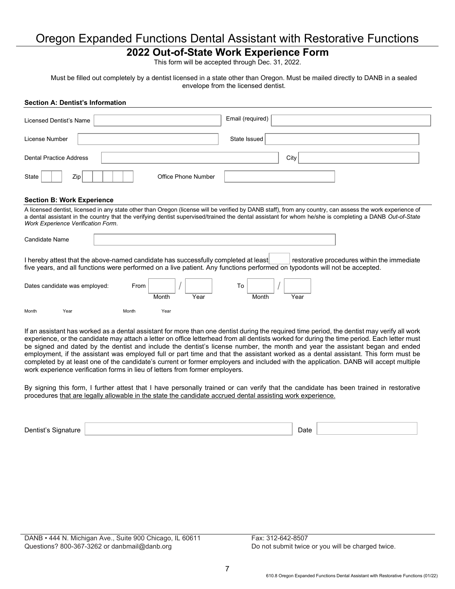## Oregon Expanded Functions Dental Assistant with Restorative Functions

## **2022 Out-of-State Work Experience Form**

This form will be accepted through Dec. 31, 2022.

Must be filled out completely by a dentist licensed in a state other than Oregon. Must be mailed directly to DANB in a sealed envelope from the licensed dentist.

# **Section A: Dentist's Information**  Licensed Dentist's Name Research Control of Licensed Dentist's Name Research Control of License and Tennis and License Number | North State Issued | State Issued | State Issued | State Issued Dental Practice Address and the contraction of the city of the city of the city of the city of the city of the city of the city of the city of the city of the city of the city of the city of the city of the city of the cit State | | | Zip | | | | | | Office Phone Number **Section B: Work Experience**  A licensed dentist, licensed in any state other than Oregon (license will be verified by DANB staff), from any country, can assess the work experience of a dental assistant in the country that the verifying dentist supervised/trained the dental assistant for whom he/she is completing a DANB *Out-of-State Work Experience Verification Form*. Candidate Name I hereby attest that the above-named candidate has successfully completed at least restorative procedures within the immediate five years, and all functions were performed on a live patient. Any functions performed on typodonts will not be accepted. Dates candidate was employed:  $\begin{array}{c|c|c|c|c} \hline \text{From} & & & \end{array}$ Month Year Month Year Month Year Month Year If an assistant has worked as a dental assistant for more than one dentist during the required time period, the dentist may verify all work

experience, or the candidate may attach a letter on office letterhead from all dentists worked for during the time period. Each letter must be signed and dated by the dentist and include the dentist's license number, the month and year the assistant began and ended employment, if the assistant was employed full or part time and that the assistant worked as a dental assistant. This form must be completed by at least one of the candidate's current or former employers and included with the application. DANB will accept multiple work experience verification forms in lieu of letters from former employers.

By signing this form, I further attest that I have personally trained or can verify that the candidate has been trained in restorative procedures that are legally allowable in the state the candidate accrued dental assisting work experience.

Dentist's Signature National Contract of the Date of the Date of the Date of the Date of the Date of the Date of the Date of the Date of the Date of the Date of the Date of the Date of the Date of the Date of the Date of t